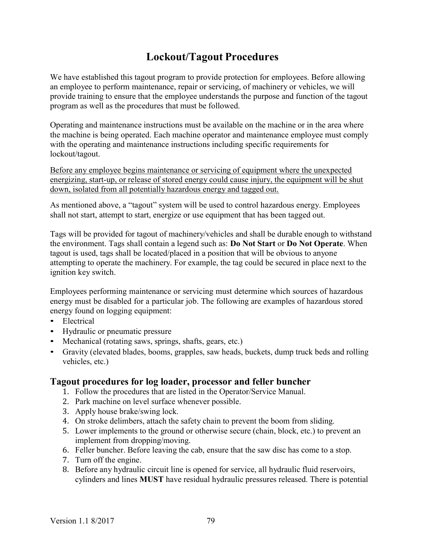# Lockout/Tagout Procedures

We have established this tagout program to provide protection for employees. Before allowing an employee to perform maintenance, repair or servicing, of machinery or vehicles, we will provide training to ensure that the employee understands the purpose and function of the tagout program as well as the procedures that must be followed.

Operating and maintenance instructions must be available on the machine or in the area where the machine is being operated. Each machine operator and maintenance employee must comply with the operating and maintenance instructions including specific requirements for lockout/tagout.

Before any employee begins maintenance or servicing of equipment where the unexpected energizing, start-up, or release of stored energy could cause injury, the equipment will be shut down, isolated from all potentially hazardous energy and tagged out.

As mentioned above, a "tagout" system will be used to control hazardous energy. Employees shall not start, attempt to start, energize or use equipment that has been tagged out.

Tags will be provided for tagout of machinery/vehicles and shall be durable enough to withstand the environment. Tags shall contain a legend such as: Do Not Start or Do Not Operate. When tagout is used, tags shall be located/placed in a position that will be obvious to anyone attempting to operate the machinery. For example, the tag could be secured in place next to the ignition key switch.

Employees performing maintenance or servicing must determine which sources of hazardous energy must be disabled for a particular job. The following are examples of hazardous stored • Electrical<br>
• Electrical<br>
• Hydraulic or pneumatic pressure<br>
• Mechanical (rotating saws, springs, shafts, gears, etc.)<br>
• Gravity (elevated blades, booms, grapples, saw heads, buckets, dump truck beds and rolling

- 
- 
- 
- vehicles, etc.)

# Tagout procedures for log loader, processor and feller buncher

- 1. Follow the procedures that are listed in the Operator/Service Manual.
- 2. Park machine on level surface whenever possible.
- 3. Apply house brake/swing lock.
- 4. On stroke delimbers, attach the safety chain to prevent the boom from sliding.
- 5. Lower implements to the ground or otherwise secure (chain, block, etc.) to prevent an implement from dropping/moving.
- 6. Feller buncher. Before leaving the cab, ensure that the saw disc has come to a stop.
- 7. Turn off the engine.
- 8. Before any hydraulic circuit line is opened for service, all hydraulic fluid reservoirs, cylinders and lines MUST have residual hydraulic pressures released. There is potential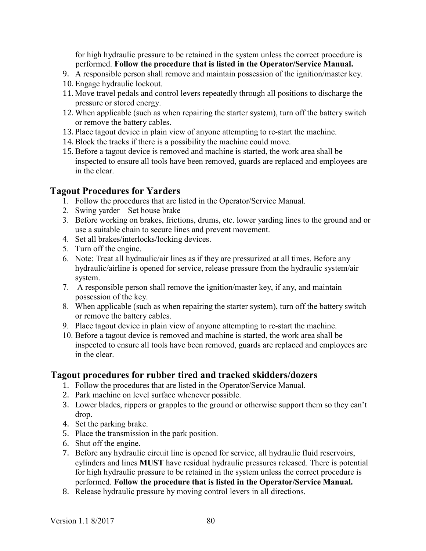for high hydraulic pressure to be retained in the system unless the correct procedure is performed. Follow the procedure that is listed in the Operator/Service Manual.

- 9. A responsible person shall remove and maintain possession of the ignition/master key.
- 10. Engage hydraulic lockout.
- 11. Move travel pedals and control levers repeatedly through all positions to discharge the pressure or stored energy.
- 12. When applicable (such as when repairing the starter system), turn off the battery switch or remove the battery cables.
- 13. Place tagout device in plain view of anyone attempting to re-start the machine.
- 14. Block the tracks if there is a possibility the machine could move.
- 15. Before a tagout device is removed and machine is started, the work area shall be inspected to ensure all tools have been removed, guards are replaced and employees are in the clear.

# Tagout Procedures for Yarders

- 1. Follow the procedures that are listed in the Operator/Service Manual.
- 2. Swing yarder Set house brake
- 3. Before working on brakes, frictions, drums, etc. lower yarding lines to the ground and or use a suitable chain to secure lines and prevent movement.
- 4. Set all brakes/interlocks/locking devices.
- 5. Turn off the engine.
- 6. Note: Treat all hydraulic/air lines as if they are pressurized at all times. Before any hydraulic/airline is opened for service, release pressure from the hydraulic system/air system.
- 7. A responsible person shall remove the ignition/master key, if any, and maintain possession of the key.
- 8. When applicable (such as when repairing the starter system), turn off the battery switch or remove the battery cables.
- 9. Place tagout device in plain view of anyone attempting to re-start the machine.
- 10. Before a tagout device is removed and machine is started, the work area shall be inspected to ensure all tools have been removed, guards are replaced and employees are in the clear.

# Tagout procedures for rubber tired and tracked skidders/dozers

- 1. Follow the procedures that are listed in the Operator/Service Manual.
- 2. Park machine on level surface whenever possible.
- 3. Lower blades, rippers or grapples to the ground or otherwise support them so they can't drop.
- 4. Set the parking brake.
- 5. Place the transmission in the park position.
- 6. Shut off the engine.
- 7. Before any hydraulic circuit line is opened for service, all hydraulic fluid reservoirs, cylinders and lines MUST have residual hydraulic pressures released. There is potential for high hydraulic pressure to be retained in the system unless the correct procedure is performed. Follow the procedure that is listed in the Operator/Service Manual.
- 8. Release hydraulic pressure by moving control levers in all directions.